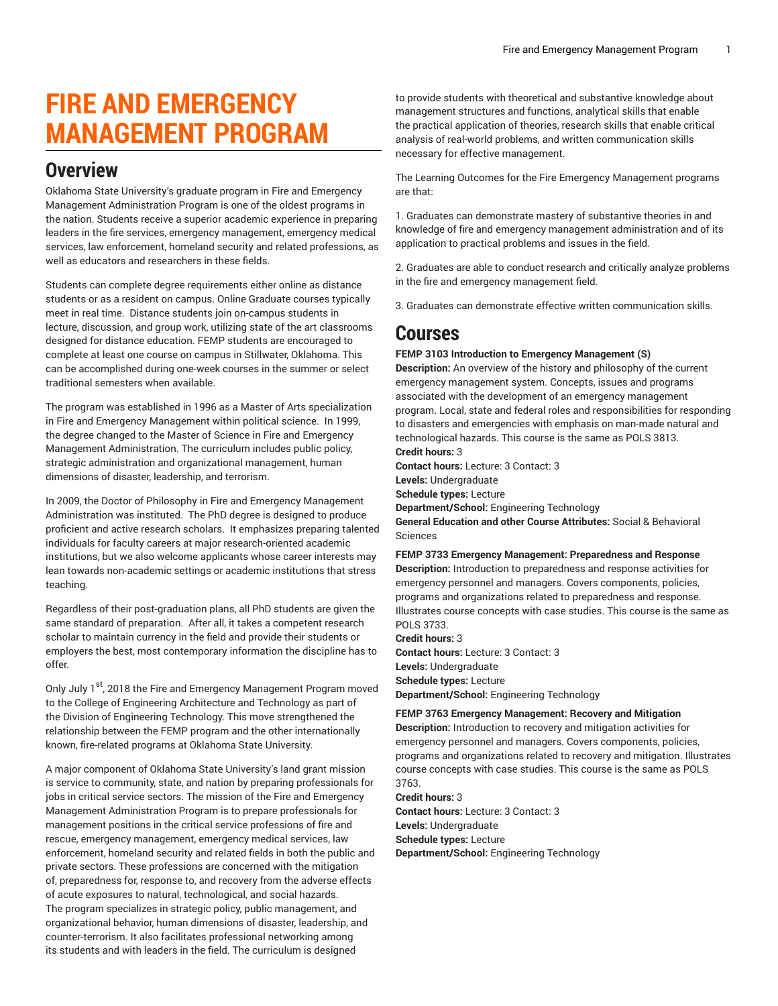# **FIRE AND EMERGENCY MANAGEMENT PROGRAM**

### **Overview**

Oklahoma State University's graduate program in Fire and Emergency Management Administration Program is one of the oldest programs in the nation. Students receive a superior academic experience in preparing leaders in the fire services, emergency management, emergency medical services, law enforcement, homeland security and related professions, as well as educators and researchers in these fields.

Students can complete degree requirements either online as distance students or as a resident on campus. Online Graduate courses typically meet in real time. Distance students join on-campus students in lecture, discussion, and group work, utilizing state of the art classrooms designed for distance education. FEMP students are encouraged to complete at least one course on campus in Stillwater, Oklahoma. This can be accomplished during one-week courses in the summer or select traditional semesters when available.

The program was established in 1996 as a Master of Arts specialization in Fire and Emergency Management within political science. In 1999, the degree changed to the Master of Science in Fire and Emergency Management Administration. The curriculum includes public policy, strategic administration and organizational management, human dimensions of disaster, leadership, and terrorism.

In 2009, the Doctor of Philosophy in Fire and Emergency Management Administration was instituted. The PhD degree is designed to produce proficient and active research scholars. It emphasizes preparing talented individuals for faculty careers at major research-oriented academic institutions, but we also welcome applicants whose career interests may lean towards non-academic settings or academic institutions that stress teaching.

Regardless of their post-graduation plans, all PhD students are given the same standard of preparation. After all, it takes a competent research scholar to maintain currency in the field and provide their students or employers the best, most contemporary information the discipline has to offer.

Only July 1<sup>st</sup>, 2018 the Fire and Emergency Management Program moved to the College of Engineering Architecture and Technology as part of the Division of Engineering Technology. This move strengthened the relationship between the FEMP program and the other internationally known, fire-related programs at Oklahoma State University.

A major component of Oklahoma State University's land grant mission is service to community, state, and nation by preparing professionals for jobs in critical service sectors. The mission of the Fire and Emergency Management Administration Program is to prepare professionals for management positions in the critical service professions of fire and rescue, emergency management, emergency medical services, law enforcement, homeland security and related fields in both the public and private sectors. These professions are concerned with the mitigation of, preparedness for, response to, and recovery from the adverse effects of acute exposures to natural, technological, and social hazards. The program specializes in strategic policy, public management, and organizational behavior, human dimensions of disaster, leadership, and counter-terrorism. It also facilitates professional networking among its students and with leaders in the field. The curriculum is designed

to provide students with theoretical and substantive knowledge about management structures and functions, analytical skills that enable the practical application of theories, research skills that enable critical analysis of real-world problems, and written communication skills necessary for effective management.

The Learning Outcomes for the Fire Emergency Management programs are that:

1. Graduates can demonstrate mastery of substantive theories in and knowledge of fire and emergency management administration and of its application to practical problems and issues in the field.

2. Graduates are able to conduct research and critically analyze problems in the fire and emergency management field.

3. Graduates can demonstrate effective written communication skills.

### **Courses**

**FEMP 3103 Introduction to Emergency Management (S)**

**Description:** An overview of the history and philosophy of the current emergency management system. Concepts, issues and programs associated with the development of an emergency management program. Local, state and federal roles and responsibilities for responding to disasters and emergencies with emphasis on man-made natural and technological hazards. This course is the same as POLS 3813. **Credit hours:** 3

**Contact hours:** Lecture: 3 Contact: 3

**Levels:** Undergraduate

**Schedule types:** Lecture **Department/School:** Engineering Technology

**General Education and other Course Attributes:** Social & Behavioral Sciences

#### **FEMP 3733 Emergency Management: Preparedness and Response**

**Description:** Introduction to preparedness and response activities for emergency personnel and managers. Covers components, policies, programs and organizations related to preparedness and response. Illustrates course concepts with case studies. This course is the same as POLS 3733.

**Credit hours:** 3 **Contact hours:** Lecture: 3 Contact: 3 **Levels:** Undergraduate **Schedule types:** Lecture **Department/School:** Engineering Technology

#### **FEMP 3763 Emergency Management: Recovery and Mitigation**

**Description:** Introduction to recovery and mitigation activities for emergency personnel and managers. Covers components, policies, programs and organizations related to recovery and mitigation. Illustrates course concepts with case studies. This course is the same as POLS 3763.

**Credit hours:** 3 **Contact hours:** Lecture: 3 Contact: 3 **Levels:** Undergraduate **Schedule types:** Lecture **Department/School:** Engineering Technology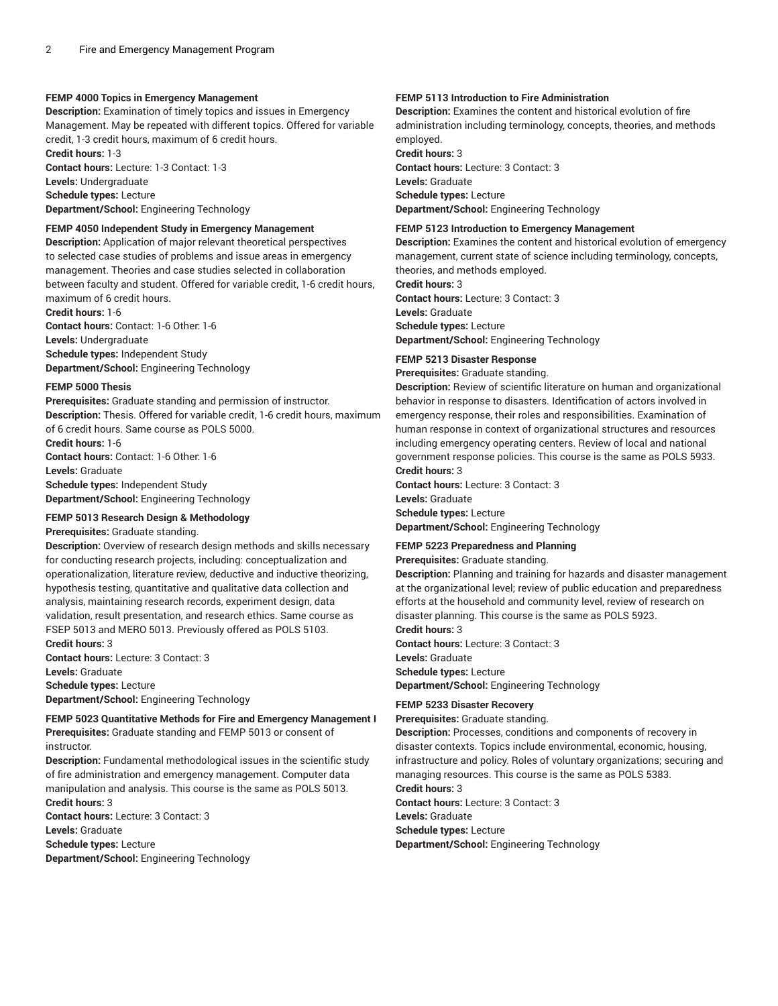#### **FEMP 4000 Topics in Emergency Management**

**Description:** Examination of timely topics and issues in Emergency Management. May be repeated with different topics. Offered for variable credit, 1-3 credit hours, maximum of 6 credit hours.

**Credit hours:** 1-3 **Contact hours:** Lecture: 1-3 Contact: 1-3

**Levels:** Undergraduate **Schedule types:** Lecture

**Department/School:** Engineering Technology

#### **FEMP 4050 Independent Study in Emergency Management**

**Description:** Application of major relevant theoretical perspectives to selected case studies of problems and issue areas in emergency management. Theories and case studies selected in collaboration between faculty and student. Offered for variable credit, 1-6 credit hours, maximum of 6 credit hours.

**Credit hours:** 1-6 **Contact hours:** Contact: 1-6 Other: 1-6 **Levels:** Undergraduate **Schedule types:** Independent Study **Department/School:** Engineering Technology

#### **FEMP 5000 Thesis**

**Prerequisites:** Graduate standing and permission of instructor. **Description:** Thesis. Offered for variable credit, 1-6 credit hours, maximum of 6 credit hours. Same course as POLS 5000. **Credit hours:** 1-6

**Contact hours:** Contact: 1-6 Other: 1-6 **Levels:** Graduate **Schedule types:** Independent Study **Department/School:** Engineering Technology

#### **FEMP 5013 Research Design & Methodology**

**Prerequisites:** Graduate standing.

**Description:** Overview of research design methods and skills necessary for conducting research projects, including: conceptualization and operationalization, literature review, deductive and inductive theorizing, hypothesis testing, quantitative and qualitative data collection and analysis, maintaining research records, experiment design, data validation, result presentation, and research ethics. Same course as FSEP 5013 and MERO 5013. Previously offered as POLS 5103. **Credit hours:** 3

**Contact hours:** Lecture: 3 Contact: 3 **Levels:** Graduate

**Schedule types:** Lecture **Department/School:** Engineering Technology

#### **FEMP 5023 Quantitative Methods for Fire and Emergency Management I Prerequisites:** Graduate standing and FEMP 5013 or consent of

instructor.

**Description:** Fundamental methodological issues in the scientific study of fire administration and emergency management. Computer data manipulation and analysis. This course is the same as POLS 5013. **Credit hours:** 3 **Contact hours:** Lecture: 3 Contact: 3

**Levels:** Graduate **Schedule types:** Lecture **Department/School:** Engineering Technology

#### **FEMP 5113 Introduction to Fire Administration**

**Description:** Examines the content and historical evolution of fire administration including terminology, concepts, theories, and methods employed.

**Credit hours:** 3 **Contact hours:** Lecture: 3 Contact: 3 **Levels:** Graduate **Schedule types:** Lecture **Department/School:** Engineering Technology

#### **FEMP 5123 Introduction to Emergency Management**

**Description:** Examines the content and historical evolution of emergency management, current state of science including terminology, concepts, theories, and methods employed.

**Credit hours:** 3

**Contact hours:** Lecture: 3 Contact: 3 **Levels:** Graduate

**Schedule types:** Lecture

**Department/School:** Engineering Technology

#### **FEMP 5213 Disaster Response**

**Prerequisites:** Graduate standing.

**Description:** Review of scientific literature on human and organizational behavior in response to disasters. Identification of actors involved in emergency response, their roles and responsibilities. Examination of human response in context of organizational structures and resources including emergency operating centers. Review of local and national government response policies. This course is the same as POLS 5933. **Credit hours:** 3

**Contact hours:** Lecture: 3 Contact: 3 **Levels:** Graduate **Schedule types:** Lecture **Department/School:** Engineering Technology

#### **FEMP 5223 Preparedness and Planning**

**Prerequisites:** Graduate standing.

**Description:** Planning and training for hazards and disaster management at the organizational level; review of public education and preparedness efforts at the household and community level, review of research on disaster planning. This course is the same as POLS 5923.

**Credit hours:** 3 **Contact hours:** Lecture: 3 Contact: 3 **Levels:** Graduate **Schedule types:** Lecture **Department/School:** Engineering Technology

#### **FEMP 5233 Disaster Recovery**

**Prerequisites:** Graduate standing.

**Description:** Processes, conditions and components of recovery in disaster contexts. Topics include environmental, economic, housing, infrastructure and policy. Roles of voluntary organizations; securing and managing resources. This course is the same as POLS 5383.

**Credit hours:** 3

**Contact hours:** Lecture: 3 Contact: 3 **Levels:** Graduate **Schedule types:** Lecture

**Department/School:** Engineering Technology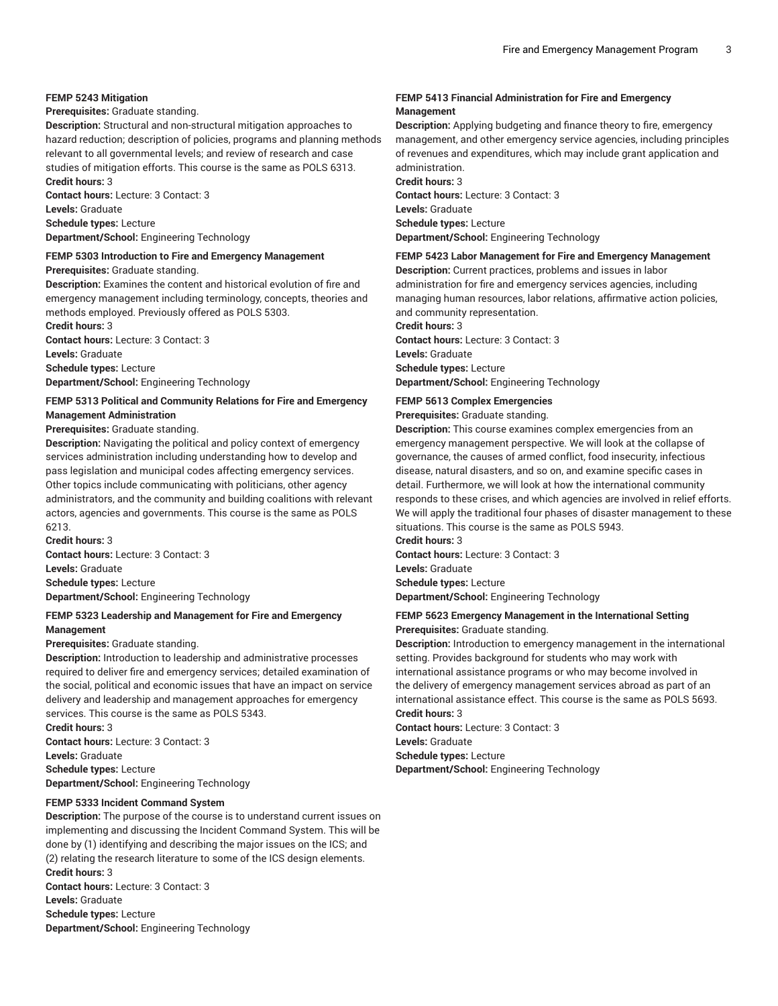#### **FEMP 5243 Mitigation**

#### **Prerequisites:** Graduate standing.

**Description:** Structural and non-structural mitigation approaches to hazard reduction; description of policies, programs and planning methods relevant to all governmental levels; and review of research and case studies of mitigation efforts. This course is the same as POLS 6313. **Credit hours:** 3

**Contact hours:** Lecture: 3 Contact: 3 **Levels:** Graduate **Schedule types:** Lecture **Department/School:** Engineering Technology

#### **FEMP 5303 Introduction to Fire and Emergency Management**

**Prerequisites:** Graduate standing.

**Description:** Examines the content and historical evolution of fire and emergency management including terminology, concepts, theories and methods employed. Previously offered as POLS 5303. **Credit hours:** 3

**Contact hours:** Lecture: 3 Contact: 3 **Levels:** Graduate **Schedule types:** Lecture

**Department/School:** Engineering Technology

#### **FEMP 5313 Political and Community Relations for Fire and Emergency Management Administration**

**Prerequisites:** Graduate standing.

**Description:** Navigating the political and policy context of emergency services administration including understanding how to develop and pass legislation and municipal codes affecting emergency services. Other topics include communicating with politicians, other agency administrators, and the community and building coalitions with relevant actors, agencies and governments. This course is the same as POLS 6213.

**Credit hours:** 3 **Contact hours:** Lecture: 3 Contact: 3 **Levels:** Graduate **Schedule types:** Lecture **Department/School:** Engineering Technology

#### **FEMP 5323 Leadership and Management for Fire and Emergency Management**

#### **Prerequisites:** Graduate standing.

**Description:** Introduction to leadership and administrative processes required to deliver fire and emergency services; detailed examination of the social, political and economic issues that have an impact on service delivery and leadership and management approaches for emergency services. This course is the same as POLS 5343.

**Credit hours:** 3 **Contact hours:** Lecture: 3 Contact: 3 **Levels:** Graduate **Schedule types:** Lecture **Department/School:** Engineering Technology

#### **FEMP 5333 Incident Command System**

**Description:** The purpose of the course is to understand current issues on implementing and discussing the Incident Command System. This will be done by (1) identifying and describing the major issues on the ICS; and (2) relating the research literature to some of the ICS design elements. **Credit hours:** 3 **Contact hours:** Lecture: 3 Contact: 3 **Levels:** Graduate **Schedule types:** Lecture **Department/School:** Engineering Technology

#### **FEMP 5413 Financial Administration for Fire and Emergency Management**

**Description:** Applying budgeting and finance theory to fire, emergency management, and other emergency service agencies, including principles of revenues and expenditures, which may include grant application and administration. **Credit hours:** 3

**Contact hours:** Lecture: 3 Contact: 3 **Levels:** Graduate **Schedule types:** Lecture **Department/School:** Engineering Technology

#### **FEMP 5423 Labor Management for Fire and Emergency Management**

**Description:** Current practices, problems and issues in labor administration for fire and emergency services agencies, including managing human resources, labor relations, affirmative action policies, and community representation.

**Credit hours:** 3

**Contact hours:** Lecture: 3 Contact: 3 **Levels:** Graduate **Schedule types:** Lecture **Department/School:** Engineering Technology

#### **FEMP 5613 Complex Emergencies**

#### **Prerequisites:** Graduate standing.

**Description:** This course examines complex emergencies from an emergency management perspective. We will look at the collapse of governance, the causes of armed conflict, food insecurity, infectious disease, natural disasters, and so on, and examine specific cases in detail. Furthermore, we will look at how the international community responds to these crises, and which agencies are involved in relief efforts. We will apply the traditional four phases of disaster management to these situations. This course is the same as POLS 5943.

**Credit hours:** 3

**Contact hours:** Lecture: 3 Contact: 3 **Levels:** Graduate **Schedule types:** Lecture **Department/School:** Engineering Technology

#### **FEMP 5623 Emergency Management in the International Setting Prerequisites:** Graduate standing.

**Description:** Introduction to emergency management in the international setting. Provides background for students who may work with international assistance programs or who may become involved in the delivery of emergency management services abroad as part of an international assistance effect. This course is the same as POLS 5693. **Credit hours:** 3

**Contact hours:** Lecture: 3 Contact: 3

**Levels:** Graduate

**Schedule types:** Lecture

**Department/School:** Engineering Technology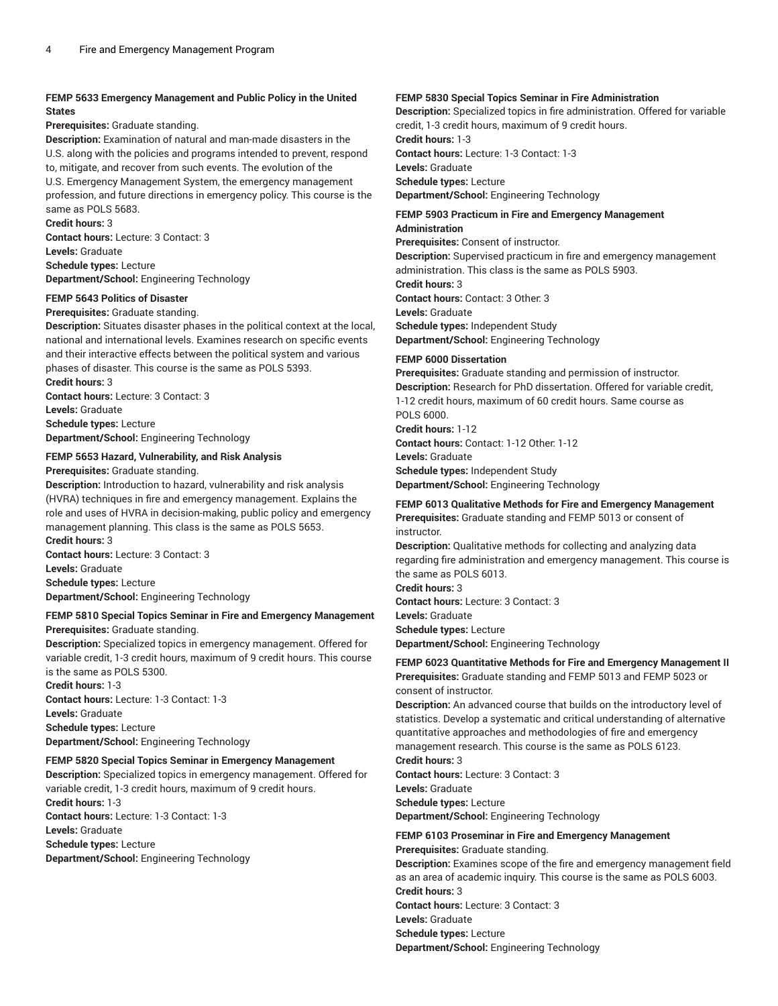#### **FEMP 5633 Emergency Management and Public Policy in the United States**

#### **Prerequisites:** Graduate standing.

**Description:** Examination of natural and man-made disasters in the U.S. along with the policies and programs intended to prevent, respond to, mitigate, and recover from such events. The evolution of the U.S. Emergency Management System, the emergency management profession, and future directions in emergency policy. This course is the same as POLS 5683. **Credit hours:** 3

**Contact hours:** Lecture: 3 Contact: 3 **Levels:** Graduate **Schedule types:** Lecture **Department/School:** Engineering Technology

#### **FEMP 5643 Politics of Disaster**

#### **Prerequisites:** Graduate standing.

**Description:** Situates disaster phases in the political context at the local, national and international levels. Examines research on specific events and their interactive effects between the political system and various phases of disaster. This course is the same as POLS 5393.

**Credit hours:** 3 **Contact hours:** Lecture: 3 Contact: 3 **Levels:** Graduate **Schedule types:** Lecture **Department/School:** Engineering Technology

### **FEMP 5653 Hazard, Vulnerability, and Risk Analysis**

**Prerequisites:** Graduate standing.

**Description:** Introduction to hazard, vulnerability and risk analysis (HVRA) techniques in fire and emergency management. Explains the role and uses of HVRA in decision-making, public policy and emergency management planning. This class is the same as POLS 5653. **Credit hours:** 3 **Contact hours:** Lecture: 3 Contact: 3 **Levels:** Graduate **Schedule types:** Lecture **Department/School:** Engineering Technology

#### **FEMP 5810 Special Topics Seminar in Fire and Emergency Management Prerequisites:** Graduate standing.

**Description:** Specialized topics in emergency management. Offered for variable credit, 1-3 credit hours, maximum of 9 credit hours. This course is the same as POLS 5300.

**Credit hours:** 1-3 **Contact hours:** Lecture: 1-3 Contact: 1-3 **Levels:** Graduate **Schedule types:** Lecture **Department/School:** Engineering Technology

#### **FEMP 5820 Special Topics Seminar in Emergency Management**

**Description:** Specialized topics in emergency management. Offered for variable credit, 1-3 credit hours, maximum of 9 credit hours. **Credit hours:** 1-3 **Contact hours:** Lecture: 1-3 Contact: 1-3 **Levels:** Graduate **Schedule types:** Lecture **Department/School:** Engineering Technology

#### **FEMP 5830 Special Topics Seminar in Fire Administration**

**Description:** Specialized topics in fire administration. Offered for variable credit, 1-3 credit hours, maximum of 9 credit hours. **Credit hours:** 1-3

**Contact hours:** Lecture: 1-3 Contact: 1-3 **Levels:** Graduate **Schedule types:** Lecture

**Department/School:** Engineering Technology

#### **FEMP 5903 Practicum in Fire and Emergency Management Administration**

**Prerequisites:** Consent of instructor.

**Description:** Supervised practicum in fire and emergency management administration. This class is the same as POLS 5903. **Credit hours:** 3

**Contact hours:** Contact: 3 Other: 3

**Levels:** Graduate

**Schedule types:** Independent Study

**Department/School:** Engineering Technology

#### **FEMP 6000 Dissertation**

**Prerequisites:** Graduate standing and permission of instructor. **Description:** Research for PhD dissertation. Offered for variable credit, 1-12 credit hours, maximum of 60 credit hours. Same course as POLS 6000. **Credit hours:** 1-12

**Contact hours:** Contact: 1-12 Other: 1-12

**Levels:** Graduate

**Schedule types:** Independent Study **Department/School:** Engineering Technology

#### **FEMP 6013 Qualitative Methods for Fire and Emergency Management**

**Prerequisites:** Graduate standing and FEMP 5013 or consent of instructor.

**Description:** Qualitative methods for collecting and analyzing data regarding fire administration and emergency management. This course is the same as POLS 6013.

**Credit hours:** 3 **Contact hours:** Lecture: 3 Contact: 3

**Levels:** Graduate

**Schedule types:** Lecture

**Department/School:** Engineering Technology

#### **FEMP 6023 Quantitative Methods for Fire and Emergency Management II Prerequisites:** Graduate standing and FEMP 5013 and FEMP 5023 or consent of instructor.

**Description:** An advanced course that builds on the introductory level of statistics. Develop a systematic and critical understanding of alternative quantitative approaches and methodologies of fire and emergency management research. This course is the same as POLS 6123.

**Credit hours:** 3 **Contact hours:** Lecture: 3 Contact: 3 **Levels:** Graduate **Schedule types:** Lecture **Department/School:** Engineering Technology

### **FEMP 6103 Proseminar in Fire and Emergency Management**

**Prerequisites:** Graduate standing. **Description:** Examines scope of the fire and emergency management field as an area of academic inquiry. This course is the same as POLS 6003. **Credit hours:** 3 **Contact hours:** Lecture: 3 Contact: 3 **Levels:** Graduate **Schedule types:** Lecture **Department/School:** Engineering Technology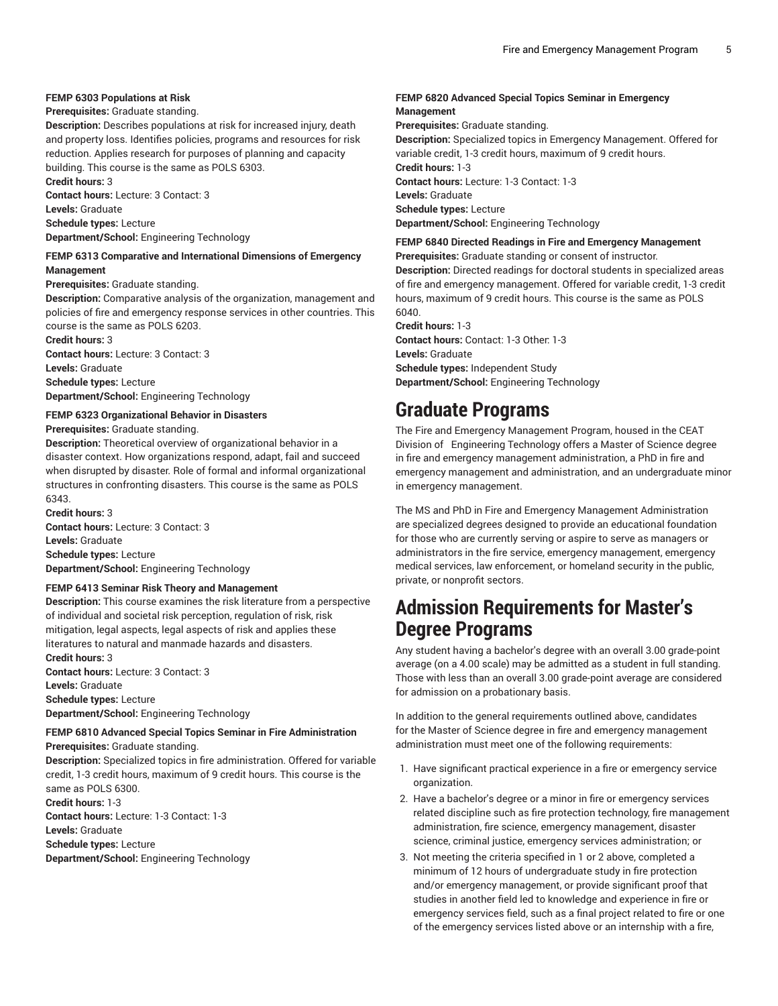#### **FEMP 6303 Populations at Risk**

#### **Prerequisites:** Graduate standing.

**Description:** Describes populations at risk for increased injury, death and property loss. Identifies policies, programs and resources for risk reduction. Applies research for purposes of planning and capacity building. This course is the same as POLS 6303. **Credit hours:** 3

**Contact hours:** Lecture: 3 Contact: 3 **Levels:** Graduate **Schedule types:** Lecture **Department/School:** Engineering Technology

#### **FEMP 6313 Comparative and International Dimensions of Emergency Management**

#### **Prerequisites:** Graduate standing.

**Description:** Comparative analysis of the organization, management and policies of fire and emergency response services in other countries. This course is the same as POLS 6203.

**Credit hours:** 3 **Contact hours:** Lecture: 3 Contact: 3 **Levels:** Graduate **Schedule types:** Lecture **Department/School:** Engineering Technology

#### **FEMP 6323 Organizational Behavior in Disasters Prerequisites:** Graduate standing. **Description:** Theoretical overview of organizational behavior in a

disaster context. How organizations respond, adapt, fail and succeed when disrupted by disaster. Role of formal and informal organizational structures in confronting disasters. This course is the same as POLS 6343.

**Credit hours:** 3 **Contact hours:** Lecture: 3 Contact: 3 **Levels:** Graduate **Schedule types:** Lecture **Department/School:** Engineering Technology

#### **FEMP 6413 Seminar Risk Theory and Management**

**Description:** This course examines the risk literature from a perspective of individual and societal risk perception, regulation of risk, risk mitigation, legal aspects, legal aspects of risk and applies these literatures to natural and manmade hazards and disasters. **Credit hours:** 3

**Contact hours:** Lecture: 3 Contact: 3 **Levels:** Graduate **Schedule types:** Lecture **Department/School:** Engineering Technology

#### **FEMP 6810 Advanced Special Topics Seminar in Fire Administration Prerequisites:** Graduate standing.

**Description:** Specialized topics in fire administration. Offered for variable credit, 1-3 credit hours, maximum of 9 credit hours. This course is the same as POLS 6300. **Credit hours:** 1-3

**Contact hours:** Lecture: 1-3 Contact: 1-3 **Levels:** Graduate

**Schedule types:** Lecture

**Department/School:** Engineering Technology

#### **FEMP 6820 Advanced Special Topics Seminar in Emergency Management**

**Prerequisites:** Graduate standing. **Description:** Specialized topics in Emergency Management. Offered for variable credit, 1-3 credit hours, maximum of 9 credit hours. **Credit hours:** 1-3 **Contact hours:** Lecture: 1-3 Contact: 1-3 **Levels:** Graduate **Schedule types:** Lecture **Department/School:** Engineering Technology

**FEMP 6840 Directed Readings in Fire and Emergency Management**

**Prerequisites:** Graduate standing or consent of instructor. **Description:** Directed readings for doctoral students in specialized areas of fire and emergency management. Offered for variable credit, 1-3 credit

hours, maximum of 9 credit hours. This course is the same as POLS 6040. **Credit hours:** 1-3

**Contact hours:** Contact: 1-3 Other: 1-3 **Levels:** Graduate **Schedule types:** Independent Study **Department/School:** Engineering Technology

### **Graduate Programs**

The Fire and Emergency Management Program, housed in the CEAT Division of Engineering Technology offers a Master of Science degree in fire and emergency management administration, a PhD in fire and emergency management and administration, and an undergraduate minor in emergency management.

The MS and PhD in Fire and Emergency Management Administration are specialized degrees designed to provide an educational foundation for those who are currently serving or aspire to serve as managers or administrators in the fire service, emergency management, emergency medical services, law enforcement, or homeland security in the public, private, or nonprofit sectors.

# **Admission Requirements for Master's Degree Programs**

Any student having a bachelor's degree with an overall 3.00 grade-point average (on a 4.00 scale) may be admitted as a student in full standing. Those with less than an overall 3.00 grade-point average are considered for admission on a probationary basis.

In addition to the general requirements outlined above, candidates for the Master of Science degree in fire and emergency management administration must meet one of the following requirements:

- 1. Have significant practical experience in a fire or emergency service organization.
- 2. Have a bachelor's degree or a minor in fire or emergency services related discipline such as fire protection technology, fire management administration, fire science, emergency management, disaster science, criminal justice, emergency services administration; or
- 3. Not meeting the criteria specified in 1 or 2 above, completed a minimum of 12 hours of undergraduate study in fire protection and/or emergency management, or provide significant proof that studies in another field led to knowledge and experience in fire or emergency services field, such as a final project related to fire or one of the emergency services listed above or an internship with a fire,